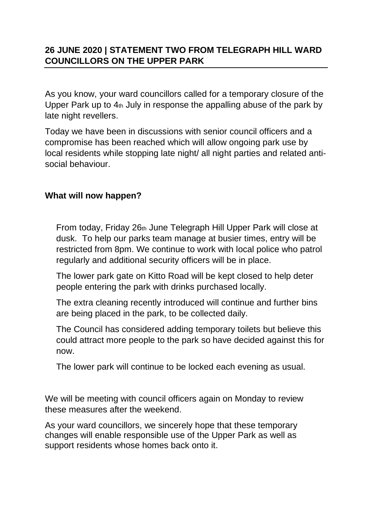## **26 JUNE 2020 | STATEMENT TWO FROM TELEGRAPH HILL WARD COUNCILLORS ON THE UPPER PARK**

As you know, your ward councillors called for a temporary closure of the Upper Park up to  $4<sub>th</sub>$  July in response the appalling abuse of the park by late night revellers.

Today we have been in discussions with senior council officers and a compromise has been reached which will allow ongoing park use by local residents while stopping late night/ all night parties and related antisocial behaviour.

## **What will now happen?**

From today, Friday 26th June Telegraph Hill Upper Park will close at dusk. To help our parks team manage at busier times, entry will be restricted from 8pm. We continue to work with local police who patrol regularly and additional security officers will be in place.

The lower park gate on Kitto Road will be kept closed to help deter people entering the park with drinks purchased locally.

The extra cleaning recently introduced will continue and further bins are being placed in the park, to be collected daily.

The Council has considered adding temporary toilets but believe this could attract more people to the park so have decided against this for now.

The lower park will continue to be locked each evening as usual.

We will be meeting with council officers again on Monday to review these measures after the weekend.

As your ward councillors, we sincerely hope that these temporary changes will enable responsible use of the Upper Park as well as support residents whose homes back onto it.